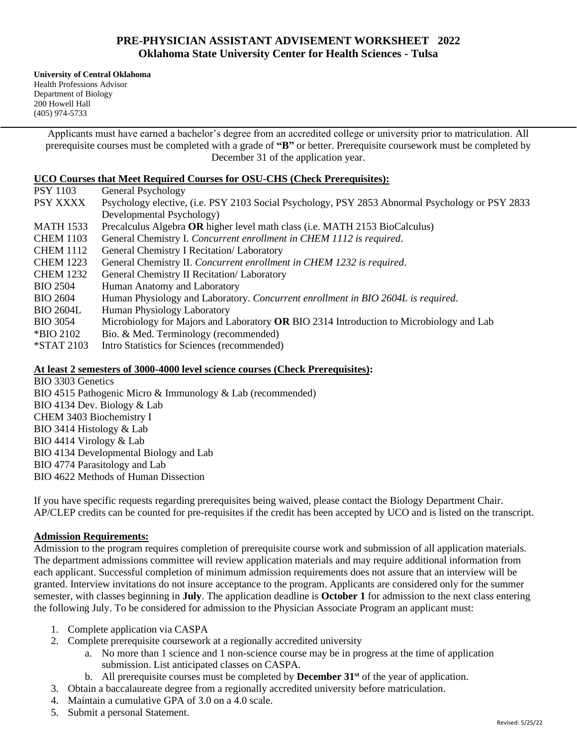# **PRE-PHYSICIAN ASSISTANT ADVISEMENT WORKSHEET 2022 Oklahoma State University Center for Health Sciences - Tulsa**

**University of Central Oklahoma** Health Professions Advisor Department of Biology 200 Howell Hall (405) 974-5733

> Applicants must have earned a bachelor's degree from an accredited college or university prior to matriculation. All prerequisite courses must be completed with a grade of **"B"** or better. Prerequisite coursework must be completed by December 31 of the application year.

### **UCO Courses that Meet Required Courses for OSU-CHS (Check Prerequisites):**

| <b>PSY 1103</b>  | General Psychology                                                                              |
|------------------|-------------------------------------------------------------------------------------------------|
| PSY XXXX         | Psychology elective, (i.e. PSY 2103 Social Psychology, PSY 2853 Abnormal Psychology or PSY 2833 |
|                  | Developmental Psychology)                                                                       |
| MATH 1533        | Precalculus Algebra OR higher level math class (i.e. MATH 2153 BioCalculus)                     |
| <b>CHEM 1103</b> | General Chemistry I. Concurrent enrollment in CHEM 1112 is required.                            |
| <b>CHEM 1112</b> | General Chemistry I Recitation/ Laboratory                                                      |
| <b>CHEM 1223</b> | General Chemistry II. Concurrent enrollment in CHEM 1232 is required.                           |
| <b>CHEM 1232</b> | General Chemistry II Recitation/ Laboratory                                                     |
| <b>BIO 2504</b>  | Human Anatomy and Laboratory                                                                    |
| <b>BIO 2604</b>  | Human Physiology and Laboratory. Concurrent enrollment in BIO 2604L is required.                |
| <b>BIO 2604L</b> | Human Physiology Laboratory                                                                     |
| <b>BIO 3054</b>  | Microbiology for Majors and Laboratory OR BIO 2314 Introduction to Microbiology and Lab         |
| *BIO 2102        | Bio. & Med. Terminology (recommended)                                                           |
| *STAT 2103       | Intro Statistics for Sciences (recommended)                                                     |

#### **At least 2 semesters of 3000-4000 level science courses (Check Prerequisites):**

BIO 3303 Genetics BIO 4515 Pathogenic Micro & Immunology & Lab (recommended) BIO 4134 Dev. Biology & Lab CHEM 3403 Biochemistry I BIO 3414 Histology & Lab BIO 4414 Virology & Lab BIO 4134 Developmental Biology and Lab BIO 4774 Parasitology and Lab BIO 4622 Methods of Human Dissection

If you have specific requests regarding prerequisites being waived, please contact the Biology Department Chair. AP/CLEP credits can be counted for pre-requisites if the credit has been accepted by UCO and is listed on the transcript.

### **Admission Requirements:**

Admission to the program requires completion of prerequisite course work and submission of all application materials. The department admissions committee will review application materials and may require additional information from each applicant. Successful completion of minimum admission requirements does not assure that an interview will be granted. Interview invitations do not insure acceptance to the program. Applicants are considered only for the summer semester, with classes beginning in **July**. The application deadline is **October 1** for admission to the next class entering the following July. To be considered for admission to the Physician Associate Program an applicant must:

- 1. Complete application via CASPA
- 2. Complete prerequisite coursework at a regionally accredited university
	- a. No more than 1 science and 1 non-science course may be in progress at the time of application submission. List anticipated classes on CASPA.
	- b. All prerequisite courses must be completed by **December 31st** of the year of application.
- 3. Obtain a baccalaureate degree from a regionally accredited university before matriculation.
- 4. Maintain a cumulative GPA of 3.0 on a 4.0 scale.
- 5. Submit a personal Statement.